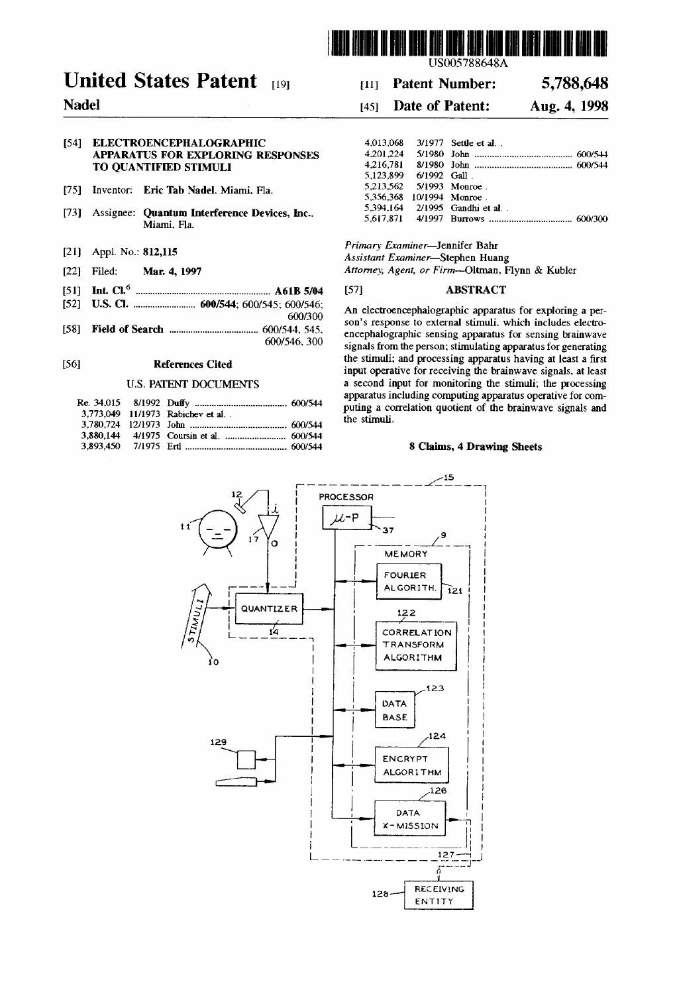

USOO5788648A

# United States Patent [19] 11 Patent Number: 5,788,648

## Nadel 145] Date of Patent: Aug. 4, 1998

| 54] ELECTROENCEPHALOGRAPHIC       |                       | 4.013.068 3/1977 Settle et al. |
|-----------------------------------|-----------------------|--------------------------------|
| APPARATUS FOR EXPLORING RESPONSES |                       |                                |
| TO OUANTIFIED STIMULI             |                       |                                |
|                                   | 5.123.899 6/1992 Gall |                                |

- [75] Inventor: Eric Tab Nadel, Miami, Fla.
- 73) Assignee: Quantum Interference Devices, Inc., Miami, Fla.
- [21] Appl. No.: 812,115
- [22] Filed: Mar. 4, 1997
- (51) int. Cl. ........................................... A61 B 5/04
- 52) U.S. C. .......................... 600/544; 600/545; 600/546; 600/300
- 58) Field of Search ..................................... 600/544, 545,

600/546,300

#### [56] References Cited

#### U.S. PATENT DOCUMENTS

|  | 3,773,049 11/1973 Rabichev et al. . |
|--|-------------------------------------|

| 4.013.068                 |                | 3/1977 Settle et al            |  |
|---------------------------|----------------|--------------------------------|--|
| 4.201.224                 |                |                                |  |
| 4.216.781                 |                |                                |  |
| 5.123.899                 | $6/1992$ Gall. |                                |  |
| 5.213.562 5/1993 Monroe   |                |                                |  |
| 5.356.368 10/1994 Monroe. |                |                                |  |
|                           |                | 5.394.164 2/1995 Gandhi et al. |  |
|                           |                |                                |  |

Primary Examiner-Jennifer Bahr Assistant Examiner-Stephen Huang

Attorney, Agent, or Firm-Oltman, Flynn & Kubler

### [57] **ABSTRACT**

An electroencephalographic apparatus for exploring a per son's response to external stimuli, which includes electro encephalographic sensing apparatus for sensing brainwave signals from the person; stimulating apparatus for generating the stimuli; and processing apparatus having at least a first input operative for receiving the brainwave signals, at least<br>a second input for monitoring the stimuli; the processing apparatus including computing apparatus operative for computing a correlation quotient of the brainwave signals and the stimuli.

#### 8 Claims, 4 Drawing Sheets



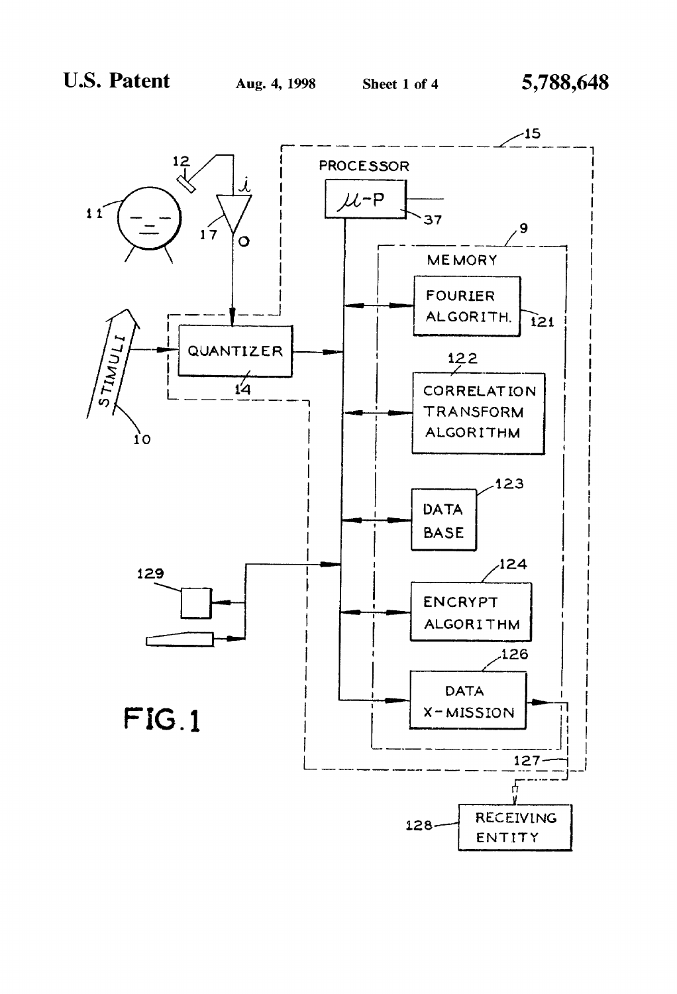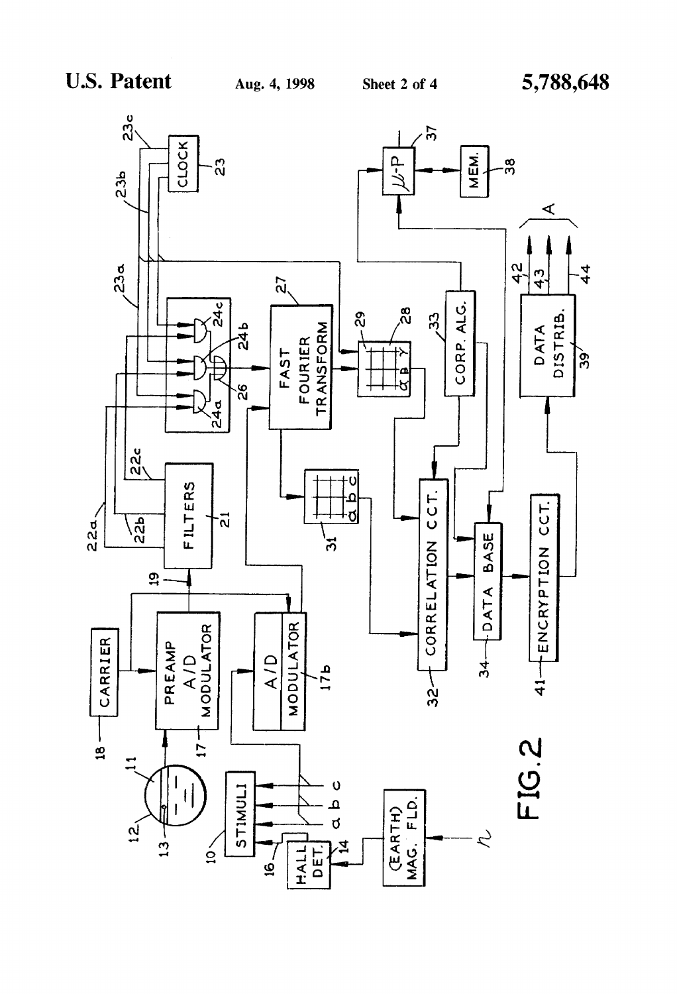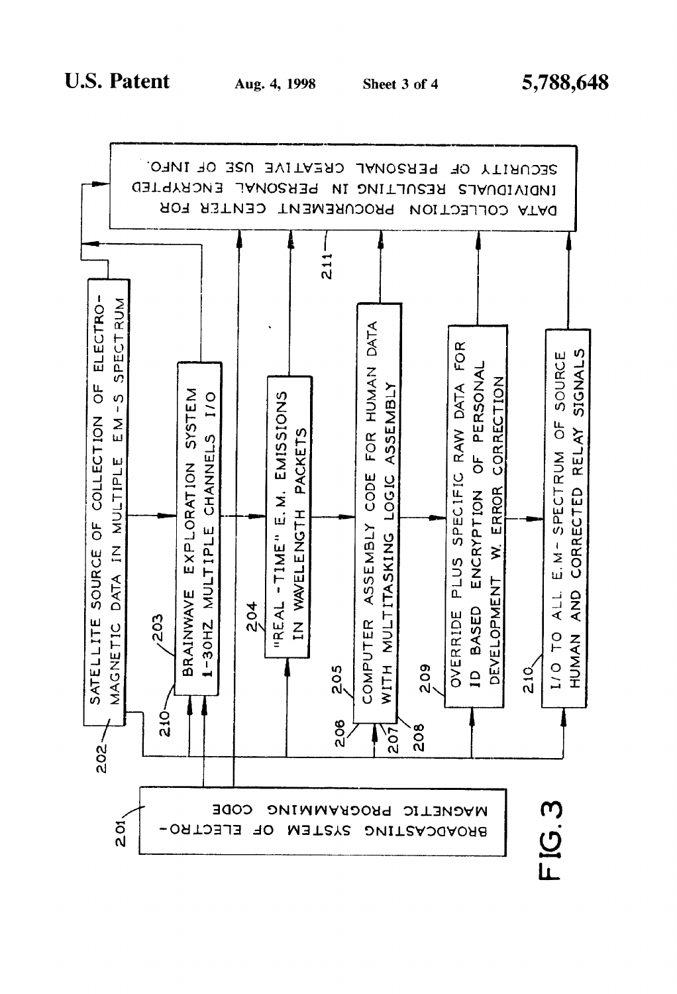

5,788,648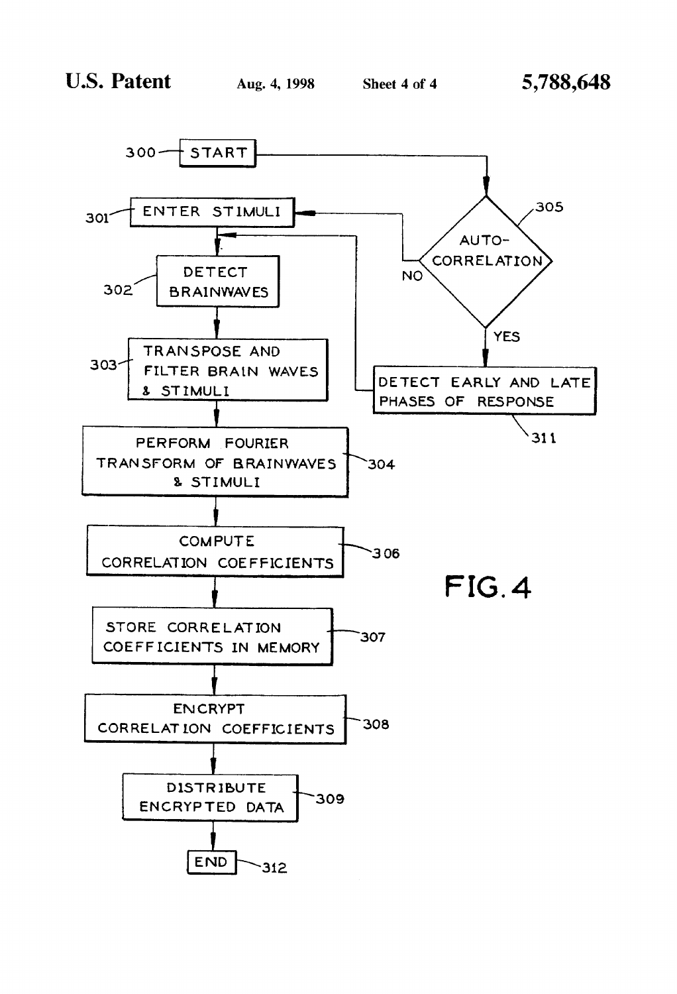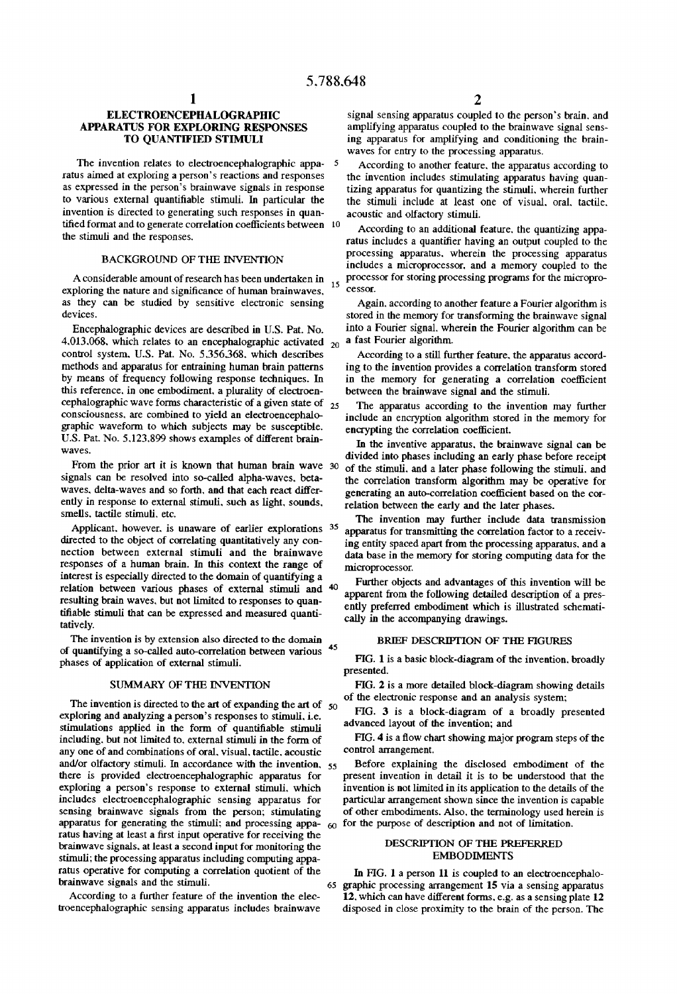#### **ELECTROENCEPHALOGRAPHIC** APPARATUS FOR EXPLORNG RESPONSES TO QUANTIFIED STIMULI

The invention relates to electroencephalographic appa- 5 ratus aimed at exploring a person's reactions and responses as expressed in the person's brainwave signals in response to various external quantifiable stimuli. In particular the invention is directed to generating such responses in quan tified format and to generate correlation coefficients between 10 the stimuli and the responses.

#### BACKGROUND OF THE INVENTION

A considerable amount of research has been undertaken in<br>playing the pattern and similar research human beginning exploring the nature and significance of human brainwaves. as they can be studied by sensitive electronic sensing devices.

Encephalographic devices are described in U.S. Pat. No.  $4.013,008$ , which relates to an encephalographic activated  $20$ control system, U.S. Pat. No. 5,356,368, which describes methods and apparatus for entraining human brain patterns by means of frequency following response techniques. In this reference, in one embodiment, a plurality of electroen cephalographic wave forms characteristic of a given state of  $_{25}$  consciousness, are combined to yield an electroencephalographic waveform to which subjects may be susceptible. U.S. Pat. No. 5,123,899 shows examples of different brain-waves.

From the prior art it is known that human brain wave 30 signals can be resolved into so-called alpha-waves, beta waves, delta-waves and so forth, and that each react differ ently in response to external stimuli, such as light, sounds. Smells, tactile stimuli, etc.

directed to the object of correlating quantitatively any connection between external stimuli and the brainwave responses of a human brain. In this context the range of interest is especially directed to the domain of quantifying a relation between various phases of external stimuli and 40 resulting brain waves, but not limited to responses to quantifiable stimuli that can be expressed and measured quantitatively. Applicant, however, is unaware of earlier explorations 35

The invention is by extension also directed to the domain of quantifying a so-called auto-correlation between various 45 phases of application of external stimuli.

#### SUMMARY OF THE INVENTION

The invention is directed to the art of expanding the  $arct$  of  $50$ exploring and analyzing a person's responses to stimuli. i.e. stimulations applied in the form of quantifiable stimuli including, but not limited to, external stimuli in the form of any one of and combinations of oral, visual, tactile, acoustic there is provided electroencephalographic apparatus for exploring a person's response to external stimuli, which includes electroencephalographic sensing apparatus for sensing brainwave signals from the person; stimulating apparatus for generating the stimuli; and processing appa- $\epsilon_0$  for the purpose of description and not of limitation. ratus having at least a first input operative for receiving the brainwave signals, at least a second input for monitoring the stimuli; the processing apparatus including computing appa ratus operative for computing a correlation quotient of the brainwave signals and the stimuli. and/or olfactory stimuli. In accordance with the invention,  $55$ 

According to a further feature of the invention the elec troencephalographic sensing apparatus includes brainwave signal sensing apparatus coupled to the person's brain, and amplifying apparatus coupled to the brainwave signal sens ing apparatus for amplifying and conditioning the brain waves for entry to the processing apparatus.

According to another feature, the apparatus according to the invention includes stimulating apparatus having quantizing apparatus for quantizing the stimuli, wherein further the stimuli include at least one of visual, oral, tactile, acoustic and olfactory stimuli.

According to an additional feature, the quantizing appa ratus includes a quantifier having an output coupled to the processing apparatus, wherein the processing apparatus includes a microprocessor, and a memory coupled to the processor for storing processing programs for the microprocessor.

Again, according to another feature a Fourier algorithm is stored in the memory for transforming the brainwave signal into a Fourier signal, wherein the Fourier algorithm can be a fast Fourier algorithm.

According to a still further feature, the apparatus accord ing to the invention provides a correlation transform stored in the memory for generating a correlation coefficient between the brainwave signal and the stimuli.

The apparatus according to the invention may further include an encryption algorithm stored in the memory for encrypting the correlation coefficient.

In the inventive apparatus, the brainwave signal can be divided into phases including an early phase before receipt of the stimuli, and a later phase following the stimuli. and the correlation transform algorithm may be operative for generating an auto-correlation coefficient based on the cor relation between the early and the later phases.

The invention may further include data transmission apparatus for transmitting the correlation factor to a receiv ing entity spaced apart from the processing apparatus, and a data base in the memory for storing computing data for the microprocessor.

Further objects and advantages of this invention will be apparent from the following detailed description of a pres ently preferred embodiment which is illustrated schemati cally in the accompanying drawings.

#### BRIEF DESCRIPTION OF THE FIGURES

FIG. 1 is a basic block-diagram of the invention. broadly presented.

FIG. 2 is a more detailed block-diagram showing details of the electronic response and an analysis system;

FIG. 3 is a block-diagram of a broadly presented advanced layout of the invention; and

FIG. 4 is a flow chart showing major program steps of the control arrangement,

Before explaining the disclosed embodiment of the present invention in detail it is to be understood that the invention is not limited in its application to the details of the particular arrangement shown since the invention is capable of other embodiments. Also, the terminology used herein is

#### DESCRIPTION OF THE PREFERRED EMBODIMENTS

65 In FIG. 1 a person 11 is coupled to an electroencephalo graphic processing arrangement 15 via a sensing apparatus 12, which can have different forms, e.g. as a sensing plate 12 disposed in close proximity to the brain of the person. The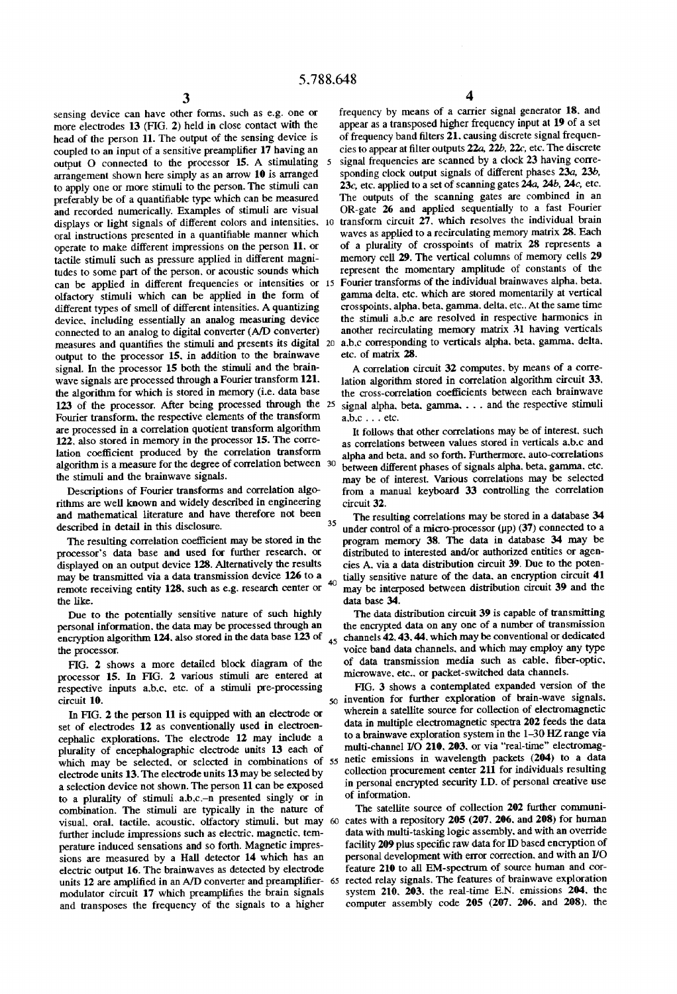$\mathfrak{p}$ 

35

sensing device can have other forms, such as e.g. one or more electrodes 13 (FIG. 2) held in close contact with the head of the person 11. The output of the sensing device is coupled to an input of a sensitive preamplifier 17 having an output O connected to the processor 15. A stimulating arrangement shown here simply as an arrow 10 is arranged to apply one or more stimuli to the person. The stimuli can preferably be of a quantifiable type which can be measured and recorded numerically. Examples of stimuli are visual displays or light signals of different colors and intensities. O oral instructions presented in a quantifiable manner which operate to make different impressions on the person 11, or tactile stimuli such as pressure applied in different magni tudes to some part of the person, or acoustic sounds which can be applied in different frequencies or intensities or 15 Fourier transforms of the individual brainwaves alpha, beta, olfactory stimuli which can be applied in the form of different types of smell of different intensities. A quantizing device, including essentially an analog measuring device connected to an analog to digital converter (A/D converter) measures and quantifies the stimuli and presents its digital 20 output to the processor 15, in addition to the brainwave signal. In the processor 15 both the stimuli and the brain wave signals are processed through a Fourier transform 121. the algorithm for which is stored in memory (i.e. data base 123 of the processor. After being processed through the 25 Fourier transform, the respective elements of the transform<br>are processed in a correlation quotient transform algorithm  $122$ , also stored in memory in the processor 15. The correlation coefficient produced by the correlation transform algorithm is a measure for the degree of correlation between 30 the stimuli and the brainwave signals.<br>Descriptions of Fourier transforms and correlation algo-

rithms are well known and widely described in engineering and mathematical literature and have therefore not been described in detail in this disclosure.

The resulting correlation coefficient may be stored in the processor's data base and used for further research, or displayed on an output device 128. Alternatively the results may be transmitted via a data transmission device 126 to a may be transmitted via a data transmission device 126 to a remote receiving entity 128, such as e.g. research center or

the like.<br>Due to the potentially sensitive nature of such highly personal information, the data may be processed through an encryption algorithm  $124$ , also stored in the data base  $123$  of  $45$ the processor.

FIG. 2 shows a more detailed block diagram of the processor 15. In FIG. 2 various stimuli are entered at respective inputs a,b,c, etc. of a stimuli pre-processing circuit 10.

In FIG. 2 the person 11 is equipped with an electrode or set of electrodes 12 as conventionally used in electroencephalic explorations. The electrode 12 may include a plurality of encephalographic electrode units 13 each of electrode units 13. The electrode units 13 may be selected by a selection device not shown. The person 11 can be exposed to a plurality of stimuli a,b,c-n presented singly or in combination. The stimuli are typically in the nature of visual, oral, tactile, acoustic, olfactory stimuli, but may 60 further include impressions such as electric, magnetic, temperature induced sensations and so forth. Magnetic impressions are measured by a Hall detector 14 which has an electric output 16. The brainwaves as detected by electrode modulator circuit 17 which preamplifies the brain signals and transposes the frequency of the signals to a higher units 12 are amplified in an A/D converter and preamplifier- 65

frequency by means of a carrier signal generator 18, and appear as a transposed higher frequency input at 19 of a set of frequency band filters 21, causing discrete signal frequen cies to appear at filter outputs 22a, 22b, 22c, etc. The discrete signal frequencies are scanned by a clock 23 having corre sponding clock output signals of different phases 23a, 23b, 23c, etc. applied to a set of scanning gates 24a, 24b, 24c, etc. The outputs of the scanning gates are combined in an OR-gate 26 and applied sequentially to a fast Fourier transform circuit 27, which resolves the individual brain waves as applied to a recirculating memory matrix 28. Each of a plurality of crosspoints of matrix 28 represents a memory cell 29. The vertical columns of memory cells 29 represent the momentary amplitude of constants of the gamma delta, etc. which are stored momentarily at vertical crosspoints, alpha, beta, gamma, delta, etc. At the same time the stimuli a,b,c are resolved in respective harmonics in another recirculating memory matrix. 31 having verticals a,b,c corresponding to verticals alpha, beta, gamma, delta. etc. of matrix 28.

A correlation circuit 32 computes, by means of a corre lation algorithm stored in correlation algorithm circuit 33, the cross-correlation coefficients between each brainwave signal alpha, beta, gamma, . . . and the respective stimuli a,b,c . . . etc.

It follows that other correlations may be of interest, such as correlations between values stored in verticals a,b,c and alpha and beta. and so forth. Furthermore, auto-correlations between different phases of signals alpha, beta, gamma, etc. may be of interest. Various correlations may be selected from a manual keyboard 33 controlling the correlation circuit 32.

The resulting correlations may be stored in a database 34 under control of a micro-processor (up) (37) connected to a program memory 38. The data in database 34 may be distributed to interested and/or authorized entities or agencies A. via a data distribution circuit  $39$ . Due to the potentially sensitive nature of the data, an encryption circuit 41 may be interposed between distribution circuit 39 and the data base 34.

The data distribution circuit 39 is capable of transmitting the encrypted data on any one of a number of transmission channels 42, 43.44, which may be conventional or dedicated voice band data channels, and which may employ any type of data transmission media such as cable, fiber-optic, microwave, etc., or packet-switched data channels.

plurality of encephalographic electrode units 13 each of multi-channel I/O 210, 203, or via real-time electromag-<br>which may be selected, or selected in combinations of 55 netic emissions in wavelength packets (204) to a da 50 invention for further exploration of brain-wave signals. FIG. 3 shows a contemplated expanded version of the wherein a satellite source for collection of electromagnetic data in multiple electromagnetic spectra 202 feeds the data to a brainwave exploration system in the  $1-30$  HZ range via multi-channel  $1/10$  210, 203, or via "real-time" electromagcollection procurement center 211 for individuals resulting in personal encrypted security I.D. of personal creative use of information.

> The satellite source of collection 202 further communi cates with a repository 205 (207. 206, and 208) for human data with multi-tasking logic assembly, and with an override facility 209 plus specific raw data for ID based encryption of personal development with error correction, and with an I/O feature 210 to all EM-spectrum of source human and cor rected relay signals. The features of brainwave exploration system 210, 203, the real-time E.N. emissions 204, the computer assembly code 205 (207. 206. and 208), the